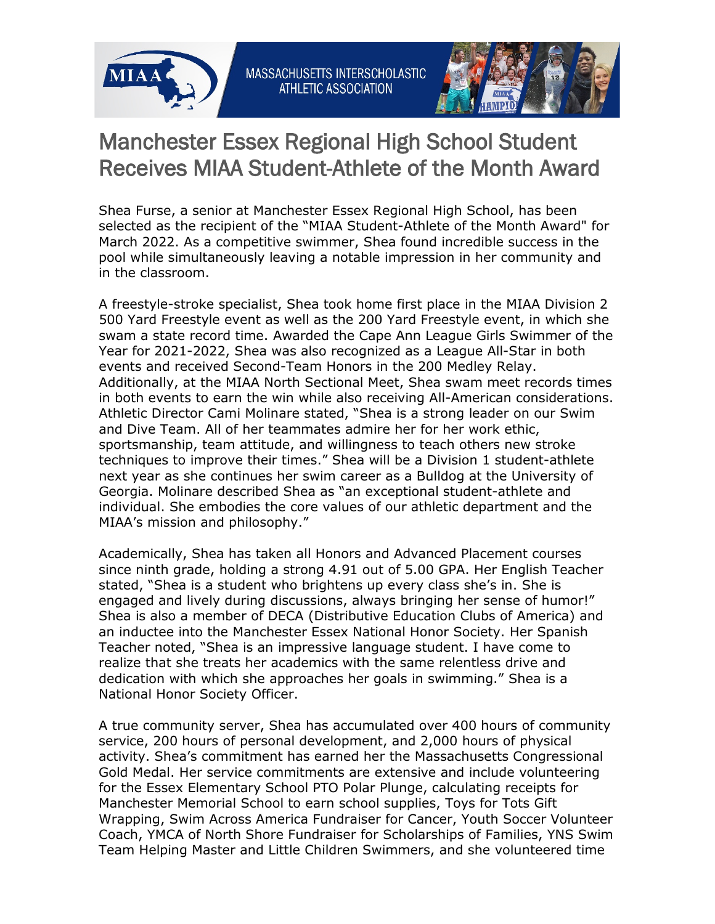



## Manchester Essex Regional High School Student Receives MIAA Student-Athlete of the Month Award

Shea Furse, a senior at Manchester Essex Regional High School, has been selected as the recipient of the "MIAA Student-Athlete of the Month Award" for March 2022. As a competitive swimmer, Shea found incredible success in the pool while simultaneously leaving a notable impression in her community and in the classroom.

A freestyle-stroke specialist, Shea took home first place in the MIAA Division 2 500 Yard Freestyle event as well as the 200 Yard Freestyle event, in which she swam a state record time. Awarded the Cape Ann League Girls Swimmer of the Year for 2021-2022, Shea was also recognized as a League All-Star in both events and received Second-Team Honors in the 200 Medley Relay. Additionally, at the MIAA North Sectional Meet, Shea swam meet records times in both events to earn the win while also receiving All-American considerations. Athletic Director Cami Molinare stated, "Shea is a strong leader on our Swim and Dive Team. All of her teammates admire her for her work ethic, sportsmanship, team attitude, and willingness to teach others new stroke techniques to improve their times." Shea will be a Division 1 student-athlete next year as she continues her swim career as a Bulldog at the University of Georgia. Molinare described Shea as "an exceptional student-athlete and individual. She embodies the core values of our athletic department and the MIAA's mission and philosophy."

Academically, Shea has taken all Honors and Advanced Placement courses since ninth grade, holding a strong 4.91 out of 5.00 GPA. Her English Teacher stated, "Shea is a student who brightens up every class she's in. She is engaged and lively during discussions, always bringing her sense of humor!" Shea is also a member of DECA (Distributive Education Clubs of America) and an inductee into the Manchester Essex National Honor Society. Her Spanish Teacher noted, "Shea is an impressive language student. I have come to realize that she treats her academics with the same relentless drive and dedication with which she approaches her goals in swimming." Shea is a National Honor Society Officer.

A true community server, Shea has accumulated over 400 hours of community service, 200 hours of personal development, and 2,000 hours of physical activity. Shea's commitment has earned her the Massachusetts Congressional Gold Medal. Her service commitments are extensive and include volunteering for the Essex Elementary School PTO Polar Plunge, calculating receipts for Manchester Memorial School to earn school supplies, Toys for Tots Gift Wrapping, Swim Across America Fundraiser for Cancer, Youth Soccer Volunteer Coach, YMCA of North Shore Fundraiser for Scholarships of Families, YNS Swim Team Helping Master and Little Children Swimmers, and she volunteered time